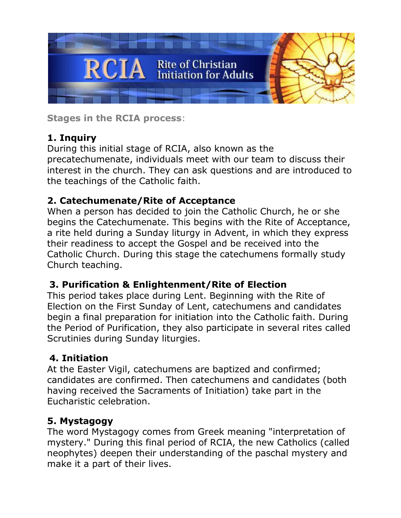

**Stages in the RCIA process**:

# **1. Inquiry**

During this initial stage of RCIA, also known as the precatechumenate, individuals meet with our team to discuss their interest in the church. They can ask questions and are introduced to the teachings of the Catholic faith.

## **2. Catechumenate/Rite of Acceptance**

When a person has decided to join the Catholic Church, he or she begins the Catechumenate. This begins with the Rite of Acceptance, a rite held during a Sunday liturgy in Advent, in which they express their readiness to accept the Gospel and be received into the Catholic Church. During this stage the catechumens formally study Church teaching.

## **3. Purification & Enlightenment/Rite of Election**

This period takes place during Lent. Beginning with the Rite of Election on the First Sunday of Lent, catechumens and candidates begin a final preparation for initiation into the Catholic faith. During the Period of Purification, they also participate in several rites called Scrutinies during Sunday liturgies.

## **4. Initiation**

At the Easter Vigil, catechumens are baptized and confirmed; candidates are confirmed. Then catechumens and candidates (both having received the Sacraments of Initiation) take part in the Eucharistic celebration.

## **5. Mystagogy**

The word Mystagogy comes from Greek meaning "interpretation of mystery." During this final period of RCIA, the new Catholics (called neophytes) deepen their understanding of the paschal mystery and make it a part of their lives.